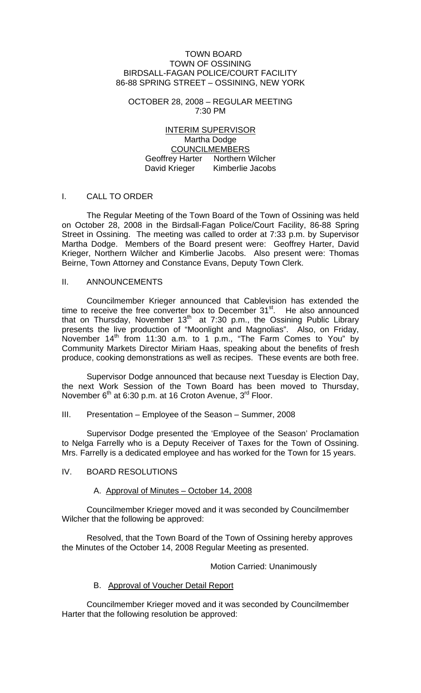#### TOWN BOARD TOWN OF OSSINING BIRDSALL-FAGAN POLICE/COURT FACILITY 86-88 SPRING STREET – OSSINING, NEW YORK

#### OCTOBER 28, 2008 – REGULAR MEETING 7:30 PM

## INTERIM SUPERVISOR Martha Dodge COUNCILMEMBERS Geoffrey Harter Northern Wilcher David Krieger Kimberlie Jacobs

## I. CALL TO ORDER

 The Regular Meeting of the Town Board of the Town of Ossining was held on October 28, 2008 in the Birdsall-Fagan Police/Court Facility, 86-88 Spring Street in Ossining. The meeting was called to order at 7:33 p.m. by Supervisor Martha Dodge. Members of the Board present were: Geoffrey Harter, David Krieger, Northern Wilcher and Kimberlie Jacobs. Also present were: Thomas Beirne, Town Attorney and Constance Evans, Deputy Town Clerk.

### II. ANNOUNCEMENTS

 Councilmember Krieger announced that Cablevision has extended the time to receive the free converter box to December  $31<sup>st</sup>$ . He also announced that on Thursday, November  $13<sup>th</sup>$  at 7:30 p.m., the Ossining Public Library presents the live production of "Moonlight and Magnolias". Also, on Friday, November  $14<sup>th</sup>$  from 11:30 a.m. to 1 p.m., "The Farm Comes to You" by Community Markets Director Miriam Haas, speaking about the benefits of fresh produce, cooking demonstrations as well as recipes. These events are both free.

 Supervisor Dodge announced that because next Tuesday is Election Day, the next Work Session of the Town Board has been moved to Thursday, November  $6<sup>th</sup>$  at 6:30 p.m. at 16 Croton Avenue, 3<sup>rd</sup> Floor.

### III. Presentation – Employee of the Season – Summer, 2008

 Supervisor Dodge presented the 'Employee of the Season' Proclamation to Nelga Farrelly who is a Deputy Receiver of Taxes for the Town of Ossining. Mrs. Farrelly is a dedicated employee and has worked for the Town for 15 years.

# IV. BOARD RESOLUTIONS

### A. Approval of Minutes – October 14, 2008

 Councilmember Krieger moved and it was seconded by Councilmember Wilcher that the following be approved:

 Resolved, that the Town Board of the Town of Ossining hereby approves the Minutes of the October 14, 2008 Regular Meeting as presented.

### Motion Carried: Unanimously

### B. Approval of Voucher Detail Report

 Councilmember Krieger moved and it was seconded by Councilmember Harter that the following resolution be approved: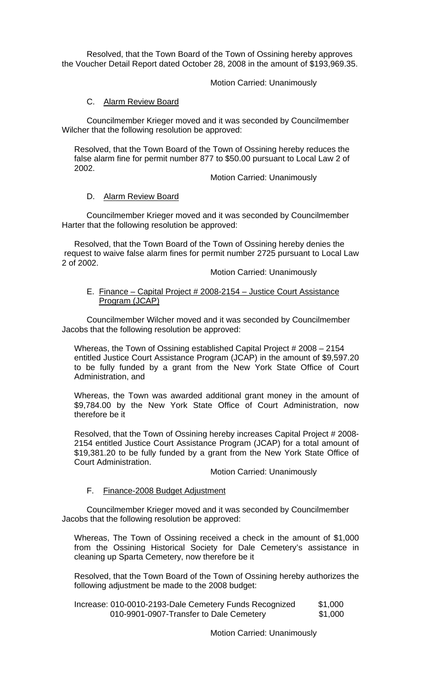Resolved, that the Town Board of the Town of Ossining hereby approves the Voucher Detail Report dated October 28, 2008 in the amount of \$193,969.35.

## Motion Carried: Unanimously

## C. Alarm Review Board

Councilmember Krieger moved and it was seconded by Councilmember Wilcher that the following resolution be approved:

Resolved, that the Town Board of the Town of Ossining hereby reduces the false alarm fine for permit number 877 to \$50.00 pursuant to Local Law 2 of 2002.

Motion Carried: Unanimously

### D. Alarm Review Board

Councilmember Krieger moved and it was seconded by Councilmember Harter that the following resolution be approved:

Resolved, that the Town Board of the Town of Ossining hereby denies the request to waive false alarm fines for permit number 2725 pursuant to Local Law 2 of 2002.

Motion Carried: Unanimously

## E. Finance - Capital Project # 2008-2154 - Justice Court Assistance Program (JCAP)

Councilmember Wilcher moved and it was seconded by Councilmember Jacobs that the following resolution be approved:

Whereas, the Town of Ossining established Capital Project # 2008 – 2154 entitled Justice Court Assistance Program (JCAP) in the amount of \$9,597.20 to be fully funded by a grant from the New York State Office of Court Administration, and

Whereas, the Town was awarded additional grant money in the amount of \$9,784.00 by the New York State Office of Court Administration, now therefore be it

Resolved, that the Town of Ossining hereby increases Capital Project # 2008- 2154 entitled Justice Court Assistance Program (JCAP) for a total amount of \$19,381.20 to be fully funded by a grant from the New York State Office of Court Administration.

### Motion Carried: Unanimously

### F. Finance-2008 Budget Adjustment

 Councilmember Krieger moved and it was seconded by Councilmember Jacobs that the following resolution be approved:

Whereas, The Town of Ossining received a check in the amount of \$1,000 from the Ossining Historical Society for Dale Cemetery's assistance in cleaning up Sparta Cemetery, now therefore be it

Resolved, that the Town Board of the Town of Ossining hereby authorizes the following adjustment be made to the 2008 budget:

| Increase: 010-0010-2193-Dale Cemetery Funds Recognized | \$1,000 |
|--------------------------------------------------------|---------|
| 010-9901-0907-Transfer to Dale Cemetery                | \$1,000 |

Motion Carried: Unanimously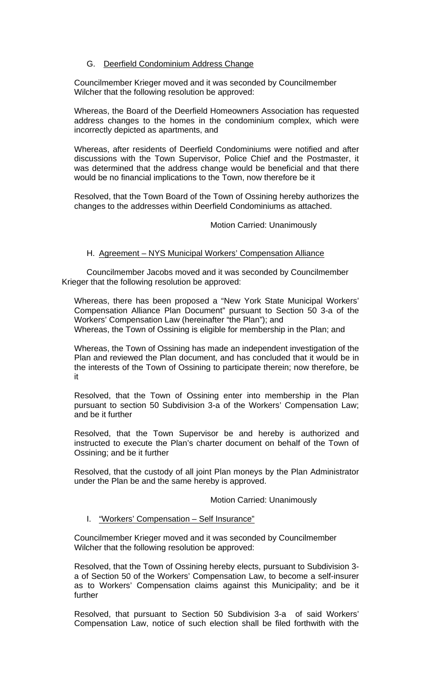# G. Deerfield Condominium Address Change

Councilmember Krieger moved and it was seconded by Councilmember Wilcher that the following resolution be approved:

Whereas, the Board of the Deerfield Homeowners Association has requested address changes to the homes in the condominium complex, which were incorrectly depicted as apartments, and

Whereas, after residents of Deerfield Condominiums were notified and after discussions with the Town Supervisor, Police Chief and the Postmaster, it was determined that the address change would be beneficial and that there would be no financial implications to the Town, now therefore be it

Resolved, that the Town Board of the Town of Ossining hereby authorizes the changes to the addresses within Deerfield Condominiums as attached.

### Motion Carried: Unanimously

## H. Agreement – NYS Municipal Workers' Compensation Alliance

Councilmember Jacobs moved and it was seconded by Councilmember Krieger that the following resolution be approved:

Whereas, there has been proposed a "New York State Municipal Workers' Compensation Alliance Plan Document" pursuant to Section 50 3-a of the Workers' Compensation Law (hereinafter "the Plan"); and Whereas, the Town of Ossining is eligible for membership in the Plan; and

Whereas, the Town of Ossining has made an independent investigation of the Plan and reviewed the Plan document, and has concluded that it would be in the interests of the Town of Ossining to participate therein; now therefore, be it

Resolved, that the Town of Ossining enter into membership in the Plan pursuant to section 50 Subdivision 3-a of the Workers' Compensation Law; and be it further

Resolved, that the Town Supervisor be and hereby is authorized and instructed to execute the Plan's charter document on behalf of the Town of Ossining; and be it further

Resolved, that the custody of all joint Plan moneys by the Plan Administrator under the Plan be and the same hereby is approved.

### Motion Carried: Unanimously

### I. "Workers' Compensation – Self Insurance"

Councilmember Krieger moved and it was seconded by Councilmember Wilcher that the following resolution be approved:

Resolved, that the Town of Ossining hereby elects, pursuant to Subdivision 3 a of Section 50 of the Workers' Compensation Law, to become a self-insurer as to Workers' Compensation claims against this Municipality; and be it further

Resolved, that pursuant to Section 50 Subdivision 3-a of said Workers' Compensation Law, notice of such election shall be filed forthwith with the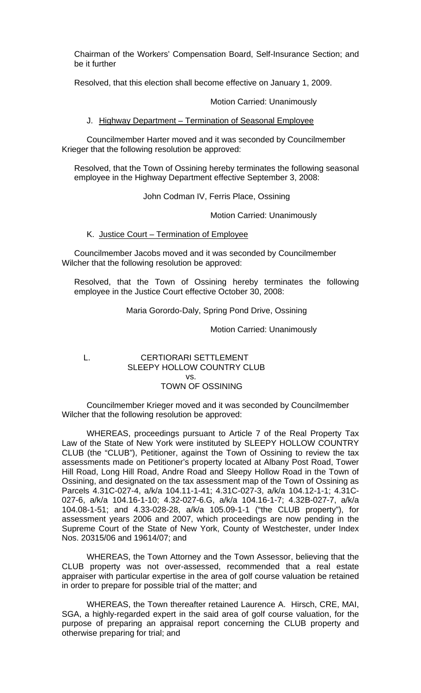Chairman of the Workers' Compensation Board, Self-Insurance Section; and be it further

Resolved, that this election shall become effective on January 1, 2009.

Motion Carried: Unanimously

### J. Highway Department – Termination of Seasonal Employee

Councilmember Harter moved and it was seconded by Councilmember Krieger that the following resolution be approved:

Resolved, that the Town of Ossining hereby terminates the following seasonal employee in the Highway Department effective September 3, 2008:

John Codman IV, Ferris Place, Ossining

Motion Carried: Unanimously

## K. Justice Court – Termination of Employee

Councilmember Jacobs moved and it was seconded by Councilmember Wilcher that the following resolution be approved:

Resolved, that the Town of Ossining hereby terminates the following employee in the Justice Court effective October 30, 2008:

Maria Gorordo-Daly, Spring Pond Drive, Ossining

Motion Carried: Unanimously

# L. CERTIORARI SETTLEMENT SLEEPY HOLLOW COUNTRY CLUB vs. TOWN OF OSSINING

 Councilmember Krieger moved and it was seconded by Councilmember Wilcher that the following resolution be approved:

 WHEREAS, proceedings pursuant to Article 7 of the Real Property Tax Law of the State of New York were instituted by SLEEPY HOLLOW COUNTRY CLUB (the "CLUB"), Petitioner, against the Town of Ossining to review the tax assessments made on Petitioner's property located at Albany Post Road, Tower Hill Road, Long Hill Road, Andre Road and Sleepy Hollow Road in the Town of Ossining, and designated on the tax assessment map of the Town of Ossining as Parcels 4.31C-027-4, a/k/a 104.11-1-41; 4.31C-027-3, a/k/a 104.12-1-1; 4.31C-027-6, a/k/a 104.16-1-10; 4.32-027-6.G, a/k/a 104.16-1-7; 4.32B-027-7, a/k/a 104.08-1-51; and 4.33-028-28, a/k/a 105.09-1-1 ("the CLUB property"), for assessment years 2006 and 2007, which proceedings are now pending in the Supreme Court of the State of New York, County of Westchester, under Index Nos. 20315/06 and 19614/07; and

WHEREAS, the Town Attorney and the Town Assessor, believing that the CLUB property was not over-assessed, recommended that a real estate appraiser with particular expertise in the area of golf course valuation be retained in order to prepare for possible trial of the matter; and

WHEREAS, the Town thereafter retained Laurence A. Hirsch, CRE, MAI, SGA, a highly-regarded expert in the said area of golf course valuation, for the purpose of preparing an appraisal report concerning the CLUB property and otherwise preparing for trial; and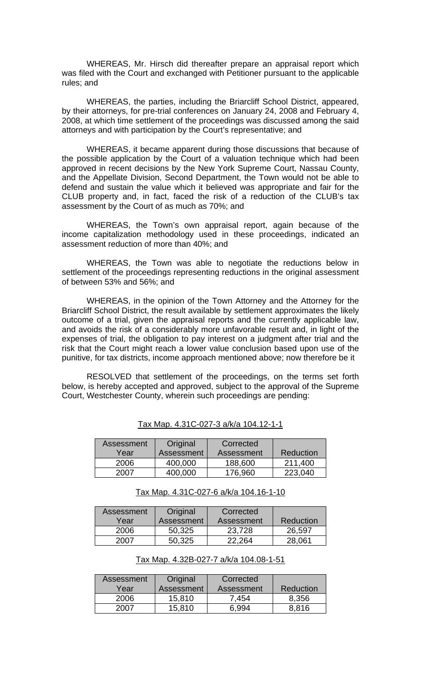WHEREAS, Mr. Hirsch did thereafter prepare an appraisal report which was filed with the Court and exchanged with Petitioner pursuant to the applicable rules; and

 WHEREAS, the parties, including the Briarcliff School District, appeared, by their attorneys, for pre-trial conferences on January 24, 2008 and February 4, 2008, at which time settlement of the proceedings was discussed among the said attorneys and with participation by the Court's representative; and

 WHEREAS, it became apparent during those discussions that because of the possible application by the Court of a valuation technique which had been approved in recent decisions by the New York Supreme Court, Nassau County, and the Appellate Division, Second Department, the Town would not be able to defend and sustain the value which it believed was appropriate and fair for the CLUB property and, in fact, faced the risk of a reduction of the CLUB's tax assessment by the Court of as much as 70%; and

 WHEREAS, the Town's own appraisal report, again because of the income capitalization methodology used in these proceedings, indicated an assessment reduction of more than 40%; and

 WHEREAS, the Town was able to negotiate the reductions below in settlement of the proceedings representing reductions in the original assessment of between 53% and 56%; and

 WHEREAS, in the opinion of the Town Attorney and the Attorney for the Briarcliff School District, the result available by settlement approximates the likely outcome of a trial, given the appraisal reports and the currently applicable law, and avoids the risk of a considerably more unfavorable result and, in light of the expenses of trial, the obligation to pay interest on a judgment after trial and the risk that the Court might reach a lower value conclusion based upon use of the punitive, for tax districts, income approach mentioned above; now therefore be it

 RESOLVED that settlement of the proceedings, on the terms set forth below, is hereby accepted and approved, subject to the approval of the Supreme Court, Westchester County, wherein such proceedings are pending:

| Assessment<br>Year | Original<br>Assessment | Corrected<br>Assessment | Reduction |
|--------------------|------------------------|-------------------------|-----------|
|                    |                        |                         |           |
| 2006               | 400,000                | 188,600                 | 211,400   |
| 2007               | 400,000                | 176,960                 | 223,040   |

### Tax Map. 4.31C-027-3 a/k/a 104.12-1-1

#### Tax Map. 4.31C-027-6 a/k/a 104.16-1-10

| Assessment | Original   | Corrected  |           |
|------------|------------|------------|-----------|
| Year       | Assessment | Assessment | Reduction |
| 2006       | 50,325     | 23,728     | 26,597    |
| 2007       | 50.325     | 22.264     | 28,061    |

### Tax Map. 4.32B-027-7 a/k/a 104.08-1-51

| Assessment | Original   | Corrected  |           |
|------------|------------|------------|-----------|
| Year       | Assessment | Assessment | Reduction |
| 2006       | 15,810     | 7.454      | 8,356     |
| 2007       | 15,810     | 6.994      | 8.816     |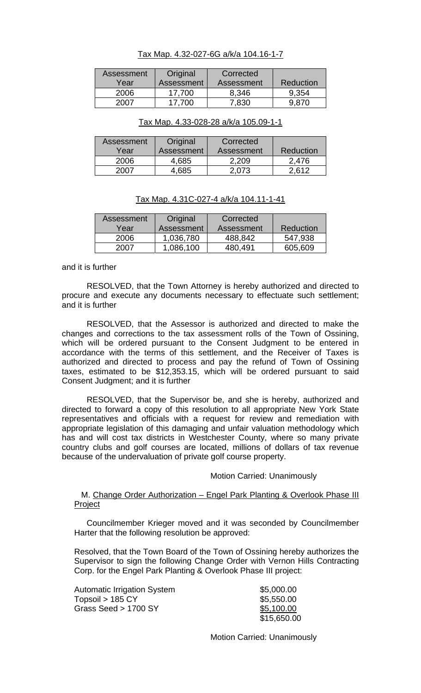#### Tax Map. 4.32-027-6G a/k/a 104.16-1-7

| Assessment | Original   | Corrected  |           |
|------------|------------|------------|-----------|
| Year       | Assessment | Assessment | Reduction |
| 2006       | 17.700     | 8.346      | 9.354     |
| 2007       | 17 700     | 7,830      | 9.870     |

| Assessment | Original   | Corrected  |           |
|------------|------------|------------|-----------|
| Year       | Assessment | Assessment | Reduction |
| 2006       | 4,685      | 2,209      | 2.476     |
| 2007       | 4,685      | 2.073      | 2.612     |

#### Tax Map. 4.31C-027-4 a/k/a 104.11-1-41

| Assessment | Original   | Corrected  |           |
|------------|------------|------------|-----------|
| Year       | Assessment | Assessment | Reduction |
| 2006       | 1,036,780  | 488,842    | 547,938   |
| 2007       | 1,086,100  | 480.491    | 605,609   |

and it is further

 RESOLVED, that the Town Attorney is hereby authorized and directed to procure and execute any documents necessary to effectuate such settlement; and it is further

 RESOLVED, that the Assessor is authorized and directed to make the changes and corrections to the tax assessment rolls of the Town of Ossining, which will be ordered pursuant to the Consent Judgment to be entered in accordance with the terms of this settlement, and the Receiver of Taxes is authorized and directed to process and pay the refund of Town of Ossining taxes, estimated to be \$12,353.15, which will be ordered pursuant to said Consent Judgment; and it is further

 RESOLVED, that the Supervisor be, and she is hereby, authorized and directed to forward a copy of this resolution to all appropriate New York State representatives and officials with a request for review and remediation with appropriate legislation of this damaging and unfair valuation methodology which has and will cost tax districts in Westchester County, where so many private country clubs and golf courses are located, millions of dollars of tax revenue because of the undervaluation of private golf course property.

#### Motion Carried: Unanimously

## M. Change Order Authorization – Engel Park Planting & Overlook Phase III Project

 Councilmember Krieger moved and it was seconded by Councilmember Harter that the following resolution be approved:

Resolved, that the Town Board of the Town of Ossining hereby authorizes the Supervisor to sign the following Change Order with Vernon Hills Contracting Corp. for the Engel Park Planting & Overlook Phase III project:

| <b>Automatic Irrigation System</b> | \$5,000.00  |
|------------------------------------|-------------|
| $T$ opsoil > 185 $CY$              | \$5,550.00  |
| Grass Seed > 1700 SY               | \$5,100.00  |
|                                    | \$15,650.00 |

Motion Carried: Unanimously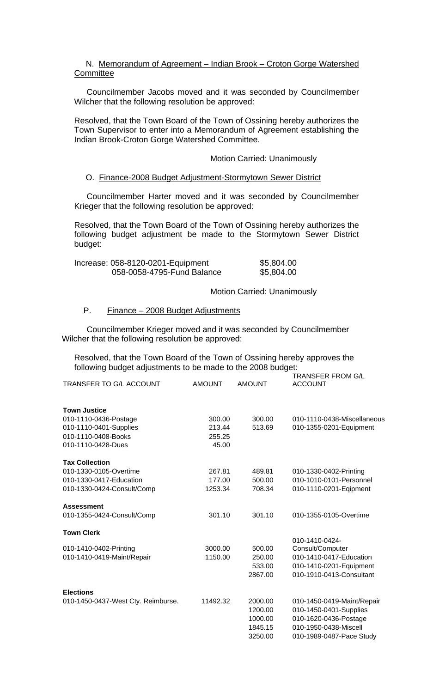## N. Memorandum of Agreement – Indian Brook – Croton Gorge Watershed **Committee**

 Councilmember Jacobs moved and it was seconded by Councilmember Wilcher that the following resolution be approved:

Resolved, that the Town Board of the Town of Ossining hereby authorizes the Town Supervisor to enter into a Memorandum of Agreement establishing the Indian Brook-Croton Gorge Watershed Committee.

#### Motion Carried: Unanimously

#### O. Finance-2008 Budget Adjustment-Stormytown Sewer District

 Councilmember Harter moved and it was seconded by Councilmember Krieger that the following resolution be approved:

Resolved, that the Town Board of the Town of Ossining hereby authorizes the following budget adjustment be made to the Stormytown Sewer District budget:

| Increase: 058-8120-0201-Equipment | \$5,804.00 |
|-----------------------------------|------------|
| 058-0058-4795-Fund Balance        | \$5,804.00 |

Motion Carried: Unanimously

## P. Finance – 2008 Budget Adjustments

 Councilmember Krieger moved and it was seconded by Councilmember Wilcher that the following resolution be approved:

Resolved, that the Town Board of the Town of Ossining hereby approves the following budget adjustments to be made to the 2008 budget: TRANSFER FROM G/L

| TRANSFER TO G/L ACCOUNT            | <b>AMOUNT</b> | <b>AMOUNT</b> | <b>ACCOUNT</b>              |
|------------------------------------|---------------|---------------|-----------------------------|
| <b>Town Justice</b>                |               |               |                             |
| 010-1110-0436-Postage              | 300.00        | 300.00        | 010-1110-0438-Miscellaneous |
| 010-1110-0401-Supplies             | 213.44        | 513.69        | 010-1355-0201-Equipment     |
| 010-1110-0408-Books                | 255.25        |               |                             |
| 010-1110-0428-Dues                 | 45.00         |               |                             |
| <b>Tax Collection</b>              |               |               |                             |
| 010-1330-0105-Overtime             | 267.81        | 489.81        | 010-1330-0402-Printing      |
| 010-1330-0417-Education            | 177.00        | 500.00        | 010-1010-0101-Personnel     |
| 010-1330-0424-Consult/Comp         | 1253.34       | 708.34        | 010-1110-0201-Eqipment      |
| <b>Assessment</b>                  |               |               |                             |
| 010-1355-0424-Consult/Comp         | 301.10        | 301.10        | 010-1355-0105-Overtime      |
| <b>Town Clerk</b>                  |               |               |                             |
|                                    |               |               | 010-1410-0424-              |
| 010-1410-0402-Printing             | 3000.00       | 500.00        | Consult/Computer            |
| 010-1410-0419-Maint/Repair         | 1150.00       | 250.00        | 010-1410-0417-Education     |
|                                    |               | 533.00        | 010-1410-0201-Equipment     |
|                                    |               | 2867.00       | 010-1910-0413-Consultant    |
| <b>Elections</b>                   |               |               |                             |
| 010-1450-0437-West Cty. Reimburse. | 11492.32      | 2000.00       | 010-1450-0419-Maint/Repair  |
|                                    |               | 1200.00       | 010-1450-0401-Supplies      |
|                                    |               | 1000.00       | 010-1620-0436-Postage       |
|                                    |               | 1845.15       | 010-1950-0438-Miscell       |
|                                    |               | 3250.00       | 010-1989-0487-Pace Study    |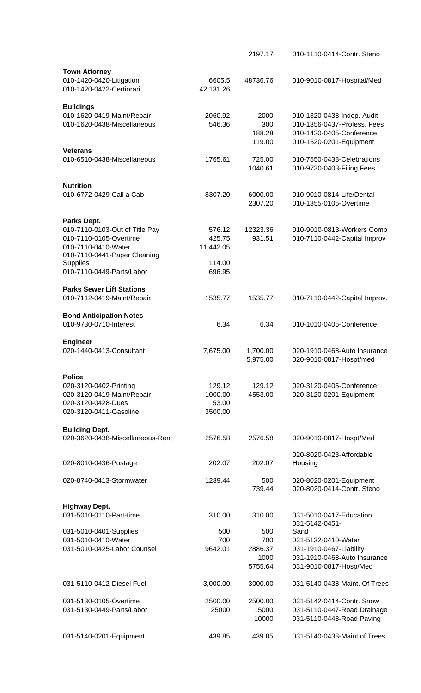|                                                                              |                     | 2197.17          | 010-1110-0414-Contr. Steno                               |
|------------------------------------------------------------------------------|---------------------|------------------|----------------------------------------------------------|
| <b>Town Attorney</b><br>010-1420-0420-Litigation<br>010-1420-0422-Certiorari | 6605.5<br>42,131.26 | 48736.76         | 010-9010-0817-Hospital/Med                               |
|                                                                              |                     |                  |                                                          |
| <b>Buildings</b><br>010-1620-0419-Maint/Repair                               | 2060.92             | 2000             | 010-1320-0438-Indep. Audit                               |
| 010-1620-0438-Miscellaneous                                                  | 546.36              | 300              | 010-1356-0437-Profess. Fees                              |
|                                                                              |                     | 188.28           | 010-1420-0405-Conference                                 |
| <b>Veterans</b>                                                              |                     | 119.00           | 010-1620-0201-Equipment                                  |
| 010-6510-0438-Miscellaneous                                                  | 1765.61             | 725.00           | 010-7550-0438-Celebrations                               |
|                                                                              |                     | 1040.61          | 010-9730-0403-Filing Fees                                |
| <b>Nutrition</b>                                                             |                     |                  |                                                          |
| 010-6772-0429-Call a Cab                                                     | 8307.20             | 6000.00          | 010-9010-0814-Life/Dental                                |
|                                                                              |                     | 2307.20          | 010-1355-0105-Overtime                                   |
| Parks Dept.                                                                  |                     |                  |                                                          |
| 010-7110-0103-Out of Title Pay                                               | 576.12              | 12323.36         | 010-9010-0813-Workers Comp                               |
| 010-7110-0105-Overtime<br>010-7110-0410-Water                                | 425.75<br>11,442.05 | 931.51           | 010-7110-0442-Capital Improv                             |
| 010-7110-0441-Paper Cleaning                                                 |                     |                  |                                                          |
| <b>Supplies</b>                                                              | 114.00              |                  |                                                          |
| 010-7110-0449-Parts/Labor                                                    | 696.95              |                  |                                                          |
| <b>Parks Sewer Lift Stations</b>                                             |                     |                  |                                                          |
| 010-7112-0419-Maint/Repair                                                   | 1535.77             | 1535.77          | 010-7110-0442-Capital Improv.                            |
| <b>Bond Anticipation Notes</b>                                               |                     |                  |                                                          |
| 010-9730-0710-Interest                                                       | 6.34                | 6.34             | 010-1010-0405-Conference                                 |
|                                                                              |                     |                  |                                                          |
| <b>Engineer</b><br>020-1440-0413-Consultant                                  | 7,675.00            | 1,700.00         | 020-1910-0468-Auto Insurance                             |
|                                                                              |                     | 5,975.00         | 020-9010-0817-Hospt/med                                  |
| <b>Police</b>                                                                |                     |                  |                                                          |
| 020-3120-0402-Printing                                                       | 129.12              | 129.12           | 020-3120-0405-Conference                                 |
| 020-3120-0419-Maint/Repair                                                   | 1000.00             | 4553.00          | 020-3120-0201-Equipment                                  |
| 020-3120-0428-Dues<br>020-3120-0411-Gasoline                                 | 53.00<br>3500.00    |                  |                                                          |
|                                                                              |                     |                  |                                                          |
| <b>Building Dept.</b>                                                        |                     |                  |                                                          |
| 020-3620-0438-Miscellaneous-Rent                                             | 2576.58             | 2576.58          | 020-9010-0817-Hospt/Med                                  |
|                                                                              |                     |                  | 020-8020-0423-Affordable                                 |
| 020-8010-0436-Postage                                                        | 202.07              | 202.07           | Housing                                                  |
| 020-8740-0413-Stormwater                                                     | 1239.44             | 500              | 020-8020-0201-Equipment                                  |
|                                                                              |                     | 739.44           | 020-8020-0414-Contr. Steno                               |
| <b>Highway Dept.</b>                                                         |                     |                  |                                                          |
| 031-5010-0110-Part-time                                                      | 310.00              | 310.00           | 031-5010-0417-Education                                  |
|                                                                              |                     |                  | 031-5142-0451-                                           |
| 031-5010-0401-Supplies<br>031-5010-0410-Water                                | 500<br>700          | 500<br>700       | Sand<br>031-5132-0410-Water                              |
| 031-5010-0425-Labor Counsel                                                  | 9642.01             | 2886.37          | 031-1910-0467-Liability                                  |
|                                                                              |                     | 1000             | 031-1910-0468-Auto Insurance                             |
|                                                                              |                     | 5755.64          | 031-9010-0817-Hosp/Med                                   |
| 031-5110-0412-Diesel Fuel                                                    | 3,000.00            | 3000.00          | 031-5140-0438-Maint. Of Trees                            |
|                                                                              |                     |                  |                                                          |
| 031-5130-0105-Overtime<br>031-5130-0449-Parts/Labor                          | 2500.00<br>25000    | 2500.00<br>15000 | 031-5142-0414-Contr. Snow<br>031-5110-0447-Road Drainage |
|                                                                              |                     | 10000            | 031-5110-0448-Road Paving                                |
|                                                                              |                     |                  |                                                          |
| 031-5140-0201-Equipment                                                      | 439.85              | 439.85           | 031-5140-0438-Maint of Trees                             |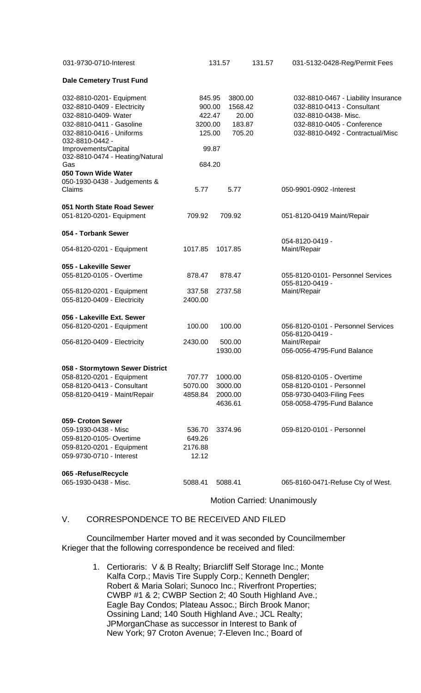| 031-9730-0710-Interest                                         | 131.57          |         | 131.57 | 031-5132-0428-Reg/Permit Fees                         |
|----------------------------------------------------------------|-----------------|---------|--------|-------------------------------------------------------|
| <b>Dale Cemetery Trust Fund</b>                                |                 |         |        |                                                       |
| 032-8810-0201- Equipment                                       | 845.95          | 3800.00 |        | 032-8810-0467 - Liability Insurance                   |
| 032-8810-0409 - Electricity                                    | 900.00          | 1568.42 |        | 032-8810-0413 - Consultant                            |
| 032-8810-0409- Water                                           | 422.47          | 20.00   |        | 032-8810-0438- Misc.                                  |
| 032-8810-0411 - Gasoline                                       | 3200.00         | 183.87  |        | 032-8810-0405 - Conference                            |
| 032-8810-0416 - Uniforms<br>032-8810-0442 -                    | 125.00          | 705.20  |        | 032-8810-0492 - Contractual/Misc                      |
| Improvements/Capital<br>032-8810-0474 - Heating/Natural<br>Gas | 99.87<br>684.20 |         |        |                                                       |
| 050 Town Wide Water                                            |                 |         |        |                                                       |
| 050-1930-0438 - Judgements &                                   |                 |         |        |                                                       |
| Claims                                                         | 5.77            | 5.77    |        | 050-9901-0902 -Interest                               |
| 051 North State Road Sewer                                     |                 |         |        |                                                       |
| 051-8120-0201- Equipment                                       | 709.92          | 709.92  |        | 051-8120-0419 Maint/Repair                            |
| 054 - Torbank Sewer                                            |                 |         |        |                                                       |
| 054-8120-0201 - Equipment                                      | 1017.85         | 1017.85 |        | 054-8120-0419 -<br>Maint/Repair                       |
| 055 - Lakeville Sewer                                          |                 |         |        |                                                       |
| 055-8120-0105 - Overtime                                       | 878.47          | 878.47  |        | 055-8120-0101- Personnel Services<br>055-8120-0419 -  |
| 055-8120-0201 - Equipment                                      | 337.58          | 2737.58 |        | Maint/Repair                                          |
| 055-8120-0409 - Electricity                                    | 2400.00         |         |        |                                                       |
| 056 - Lakeville Ext. Sewer                                     |                 |         |        |                                                       |
| 056-8120-0201 - Equipment                                      | 100.00          | 100.00  |        | 056-8120-0101 - Personnel Services<br>056-8120-0419 - |
| 056-8120-0409 - Electricity                                    | 2430.00         | 500.00  |        | Maint/Repair                                          |
|                                                                |                 | 1930.00 |        | 056-0056-4795-Fund Balance                            |
| 058 - Stormytown Sewer District                                |                 |         |        |                                                       |
| 058-8120-0201 - Equipment                                      | 707.77          | 1000.00 |        | 058-8120-0105 - Overtime                              |
| 058-8120-0413 - Consultant                                     | 5070.00         | 3000.00 |        | 058-8120-0101 - Personnel                             |
| 058-8120-0419 - Maint/Repair                                   | 4858.84         | 2000.00 |        | 058-9730-0403-Filing Fees                             |
|                                                                |                 | 4636.61 |        | 058-0058-4795-Fund Balance                            |
| 059- Croton Sewer                                              |                 |         |        |                                                       |
| 059-1930-0438 - Misc                                           | 536.70          | 3374.96 |        | 059-8120-0101 - Personnel                             |
| 059-8120-0105- Overtime                                        | 649.26          |         |        |                                                       |
| 059-8120-0201 - Equipment                                      | 2176.88         |         |        |                                                       |
| 059-9730-0710 - Interest                                       | 12.12           |         |        |                                                       |
| 065 - Refuse/Recycle                                           |                 |         |        |                                                       |
| 065-1930-0438 - Misc.                                          | 5088.41         | 5088.41 |        | 065-8160-0471-Refuse Cty of West.                     |

Motion Carried: Unanimously

# V. CORRESPONDENCE TO BE RECEIVED AND FILED

 Councilmember Harter moved and it was seconded by Councilmember Krieger that the following correspondence be received and filed:

> 1. Certioraris: V & B Realty; Briarcliff Self Storage Inc.; Monte Kalfa Corp.; Mavis Tire Supply Corp.; Kenneth Dengler; Robert & Maria Solari; Sunoco Inc.; Riverfront Properties; CWBP #1 & 2; CWBP Section 2; 40 South Highland Ave.; Eagle Bay Condos; Plateau Assoc.; Birch Brook Manor; Ossining Land; 140 South Highland Ave.; JCL Realty; JPMorganChase as successor in Interest to Bank of New York; 97 Croton Avenue; 7-Eleven Inc.; Board of